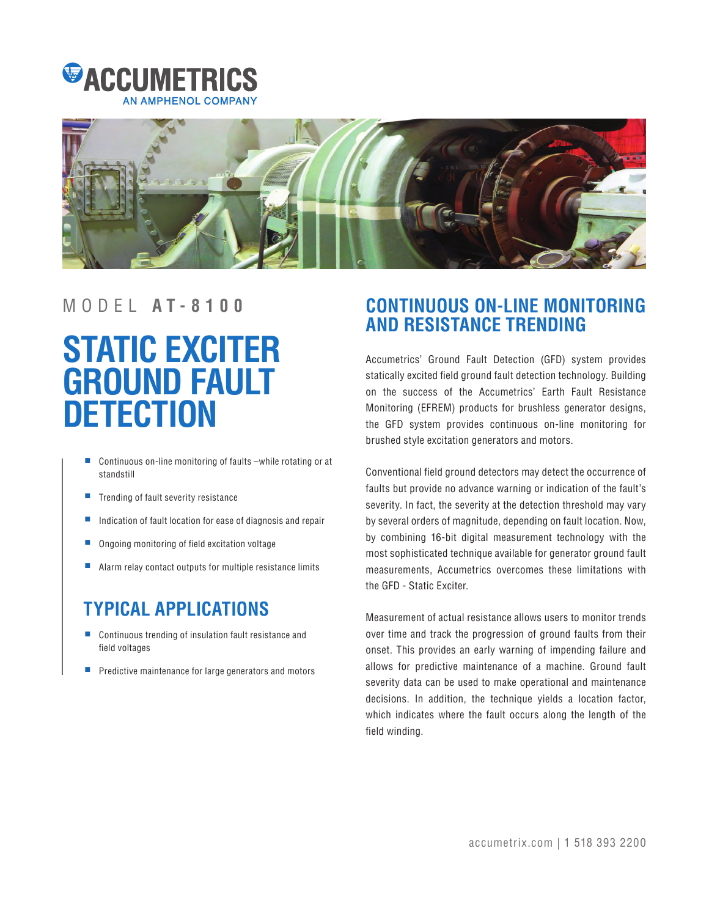



# **STATIC EXCITER GROUND FAULT DETECTION**

- Continuous on-line monitoring of faults –while rotating or at standstill
- Trending of fault severity resistance
- Indication of fault location for ease of diagnosis and repair
- Ongoing monitoring of field excitation voltage
- Alarm relay contact outputs for multiple resistance limits

# **TYPICAL APPLICATIONS**

- Continuous trending of insulation fault resistance and field voltages
- Predictive maintenance for large generators and motors

# MODEL **A T - 8 1 0 0 CONTINUOUS ON-LINE MONITORING AND RESISTANCE TRENDING**

Accumetrics' Ground Fault Detection (GFD) system provides statically excited field ground fault detection technology. Building on the success of the Accumetrics' Earth Fault Resistance Monitoring (EFREM) products for brushless generator designs, the GFD system provides continuous on-line monitoring for brushed style excitation generators and motors.

Conventional field ground detectors may detect the occurrence of faults but provide no advance warning or indication of the fault's severity. In fact, the severity at the detection threshold may vary by several orders of magnitude, depending on fault location. Now, by combining 16-bit digital measurement technology with the most sophisticated technique available for generator ground fault measurements, Accumetrics overcomes these limitations with the GFD - Static Exciter.

Measurement of actual resistance allows users to monitor trends over time and track the progression of ground faults from their onset. This provides an early warning of impending failure and allows for predictive maintenance of a machine. Ground fault severity data can be used to make operational and maintenance decisions. In addition, the technique yields a location factor, which indicates where the fault occurs along the length of the field winding.